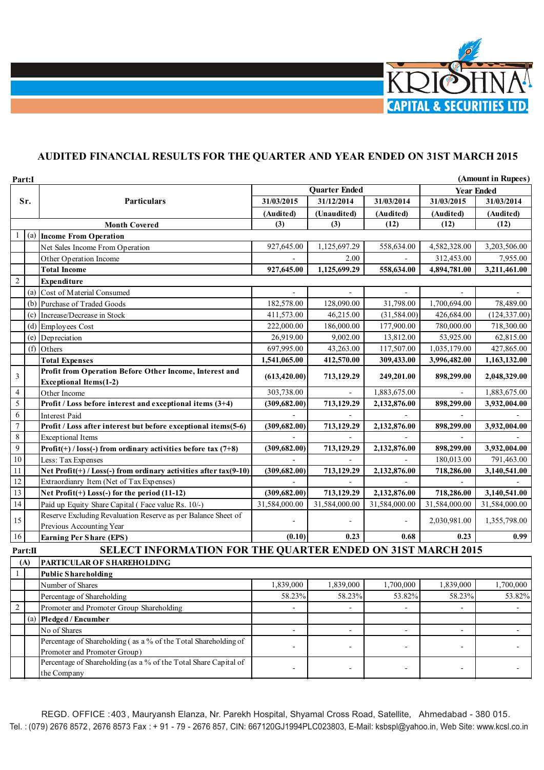

## **AUDITED FINANCIAL RESULTS FOR THE QUARTER AND YEAR ENDED ON 31ST MARCH 2015**

| Part:I                            |     |                                                                                  |                      |               | (Amount in Rupees) |                   |               |
|-----------------------------------|-----|----------------------------------------------------------------------------------|----------------------|---------------|--------------------|-------------------|---------------|
|                                   |     |                                                                                  | <b>Quarter Ended</b> |               |                    | <b>Year Ended</b> |               |
|                                   | Sr. | <b>Particulars</b>                                                               | 31/03/2015           | 31/12/2014    | 31/03/2014         | 31/03/2015        | 31/03/2014    |
|                                   |     |                                                                                  | (Audited)            | (Unaudited)   | (Audited)          | (Audited)         | (Audited)     |
|                                   |     | <b>Month Covered</b>                                                             | (3)                  | (3)           | (12)               | (12)              | (12)          |
|                                   | (a) | <b>Income From Operation</b>                                                     |                      |               |                    |                   |               |
|                                   |     | Net Sales Income From Operation                                                  | 927,645.00           | 1,125,697.29  | 558,634.00         | 4,582,328.00      | 3,203,506.00  |
|                                   |     | Other Operation Income                                                           |                      | 2.00          |                    | 312,453.00        | 7,955.00      |
|                                   |     | <b>Total Income</b>                                                              | 927,645.00           | 1,125,699.29  | 558,634.00         | 4,894,781.00      | 3,211,461.00  |
| $\overline{2}$                    |     | Expenditure                                                                      |                      |               |                    |                   |               |
|                                   |     | (a) Cost of Material Consumed                                                    |                      |               |                    |                   |               |
|                                   |     | (b) Purchase of Traded Goods                                                     | 182,578.00           | 128,090.00    | 31,798.00          | 1,700,694.00      | 78,489.00     |
|                                   |     | (c) Increase/Decrease in Stock                                                   | 411,573.00           | 46,215.00     | (31, 584.00)       | 426,684.00        | (124, 337.00) |
|                                   |     | $(d)$ Employees Cost                                                             | 222,000.00           | 186,000.00    | 177,900.00         | 780,000.00        | 718,300.00    |
|                                   |     | (e) Depreciation                                                                 | 26,919.00            | 9,002.00      | 13,812.00          | 53,925.00         | 62,815.00     |
|                                   |     | (f) Others                                                                       | 697,995.00           | 43,263.00     | 117,507.00         | 1,035,179.00      | 427,865.00    |
|                                   |     |                                                                                  | 1,541,065.00         | 412,570.00    | 309,433.00         | 3,996,482.00      | 1,163,132.00  |
|                                   |     | <b>Total Expenses</b><br>Profit from Operation Before Other Income, Interest and |                      |               |                    |                   |               |
| 3                                 |     | <b>Exceptional Items(1-2)</b>                                                    | (613, 420.00)        | 713,129.29    | 249,201.00         | 898,299.00        | 2,048,329.00  |
| 4                                 |     |                                                                                  | 303,738.00           |               | 1,883,675.00       |                   | 1,883,675.00  |
| 5                                 |     | Other Income<br>Profit / Loss before interest and exceptional items (3+4)        | (309, 682.00)        | 713,129.29    | 2,132,876.00       | 898,299.00        | 3,932,004.00  |
| 6                                 |     | <b>Interest Paid</b>                                                             |                      |               |                    |                   |               |
| $\overline{7}$                    |     |                                                                                  |                      |               |                    |                   |               |
| $\,$ 8 $\,$                       |     | Profit / Loss after interest but before exceptional items(5-6)                   | (309, 682.00)        | 713,129.29    | 2,132,876.00       | 898,299.00        | 3,932,004.00  |
| $\overline{9}$                    |     | <b>Exceptional Items</b>                                                         |                      |               |                    |                   |               |
|                                   |     | Profit(+) / loss(-) from ordinary activities before tax $(7+8)$                  | (309, 682.00)        | 713,129.29    | 2,132,876.00       | 898,299.00        | 3,932,004.00  |
| $10\,$                            |     | Less: Tax Expenses                                                               |                      |               |                    | 180,013.00        | 791,463.00    |
| 11                                |     | Net Profit(+) / Loss(-) from ordinary activities after $\frac{1}{4}(9-10)$       | (309, 682.00)        | 713,129.29    | 2,132,876.00       | 718,286.00        | 3,140,541.00  |
| 12                                |     | Extraordianry Item (Net of Tax Expenses)                                         |                      |               |                    |                   |               |
| 13                                |     | Net $Profit(+) Loss(-) for the period (11-12)$                                   | (309, 682.00)        | 713,129.29    | 2,132,876.00       | 718,286.00        | 3,140,541.00  |
| 14                                |     | Paid up Equity Share Capital (Face value Rs. 10/-)                               | 31,584,000.00        | 31,584,000.00 | 31,584,000.00      | 31,584,000.00     | 31,584,000.00 |
| 15                                |     | Reserve Excluding Revaluation Reserve as per Balance Sheet of                    |                      |               |                    | 2,030,981.00      | 1,355,798.00  |
|                                   |     | Previous Accounting Year                                                         |                      |               |                    |                   |               |
| 16                                |     | <b>Earning Per Share (EPS)</b>                                                   | (0.10)               | 0.23          | 0.68               | 0.23              | 0.99          |
| Part:II                           |     | SELECT INFORMATION FOR THE QUARTER ENDED ON 31ST MARCH 2015                      |                      |               |                    |                   |               |
| PARTICULAR OF SHAREHOLDING<br>(A) |     |                                                                                  |                      |               |                    |                   |               |
| $\mathbf{1}$                      |     | <b>Public Shareholding</b>                                                       |                      |               |                    |                   |               |
|                                   |     | Number of Shares                                                                 | 1,839,000            | 1,839,000     | 1,700,000          | 1,839,000         | 1,700,000     |
|                                   |     | Percentage of Shareholding                                                       | 58.23%               | 58.23%        | 53.82%             | 58.23%            | 53.82%        |
| $\sqrt{2}$                        |     | Promoter and Promoter Group Shareholding                                         |                      |               |                    |                   |               |
|                                   | (a) | Pledged / Encumber                                                               |                      |               |                    |                   |               |
|                                   |     | No of Shares                                                                     | $\overline{a}$       | ÷,            |                    |                   |               |
|                                   |     | Percentage of Shareholding (as a % of the Total Shareholding of                  |                      |               |                    |                   |               |
|                                   |     | Promoter and Promoter Group)                                                     |                      |               |                    |                   |               |
|                                   |     | Percentage of Shareholding (as a % of the Total Share Capital of                 |                      |               |                    |                   |               |
|                                   |     | the Company                                                                      |                      |               |                    |                   |               |

REGD. OFFICE : 403 , Mauryansh Elanza, Nr. Parekh Hospital, Shyamal Cross Road, Satellite, Ahmedabad - 380 015. Tel.: (079) 2676 8572, 2676 8573 Fax: + 91 - 79 - 2676 857, CIN: 667120GJ1994PLC023803, E-Mail: ksbspl@yahoo.in, Web Site: www.kcsl.co.in